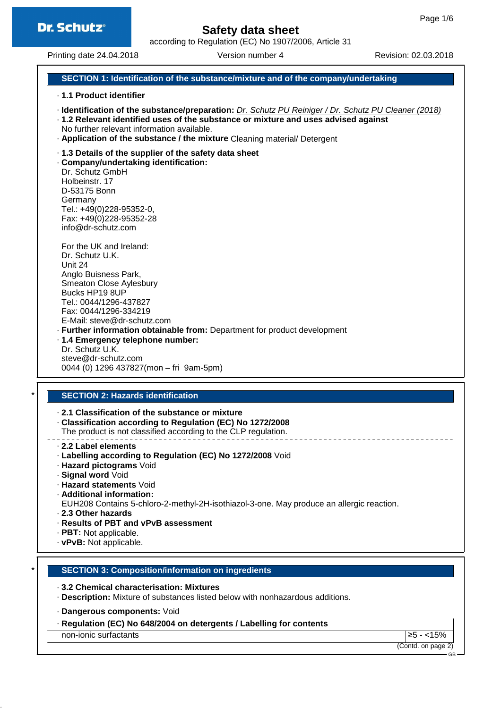according to Regulation (EC) No 1907/2006, Article 31

Printing date 24.04.2018 **Version number 4** Revision: 02.03.2018

### **SECTION 1: Identification of the substance/mixture and of the company/undertaking**

#### · **1.1 Product identifier**

- · **Identification of the substance/preparation:** Dr. Schutz PU Reiniger / Dr. Schutz PU Cleaner (2018)
- · **1.2 Relevant identified uses of the substance or mixture and uses advised against** No further relevant information available.
- · **Application of the substance / the mixture** Cleaning material/ Detergent

#### · **1.3 Details of the supplier of the safety data sheet**

· **Company/undertaking identification:** Dr. Schutz GmbH

Holbeinstr. 17 D-53175 Bonn Germany Tel.: +49(0)228-95352-0, Fax: +49(0)228-95352-28 info@dr-schutz.com

For the UK and Ireland: Dr. Schutz U.K. Unit 24 Anglo Buisness Park, Smeaton Close Aylesbury Bucks HP19 8UP Tel.: 0044/1296-437827 Fax: 0044/1296-334219 E-Mail: steve@dr-schutz.com · **Further information obtainable from:** Department for product development · **1.4 Emergency telephone number:** Dr. Schutz U.K.

steve@dr-schutz.com 0044 (0) 1296 437827(mon – fri 9am-5pm)

### **SECTION 2: Hazards identification**

· **2.1 Classification of the substance or mixture**

· **Classification according to Regulation (EC) No 1272/2008**

The product is not classified according to the CLP regulation.

- · **2.2 Label elements**
- · **Labelling according to Regulation (EC) No 1272/2008** Void
- · **Hazard pictograms** Void
- · **Signal word** Void
- · **Hazard statements** Void
- · **Additional information:**

EUH208 Contains 5-chloro-2-methyl-2H-isothiazol-3-one. May produce an allergic reaction.

- · **2.3 Other hazards**
- · **Results of PBT and vPvB assessment**
- · **PBT:** Not applicable.
- · **vPvB:** Not applicable.

### **SECTION 3: Composition/information on ingredients**

· **3.2 Chemical characterisation: Mixtures**

· **Description:** Mixture of substances listed below with nonhazardous additions.

· **Dangerous components:** Void

#### · **Regulation (EC) No 648/2004 on detergents / Labelling for contents**

non-ionic surfactants  $\geq 5$  - <15%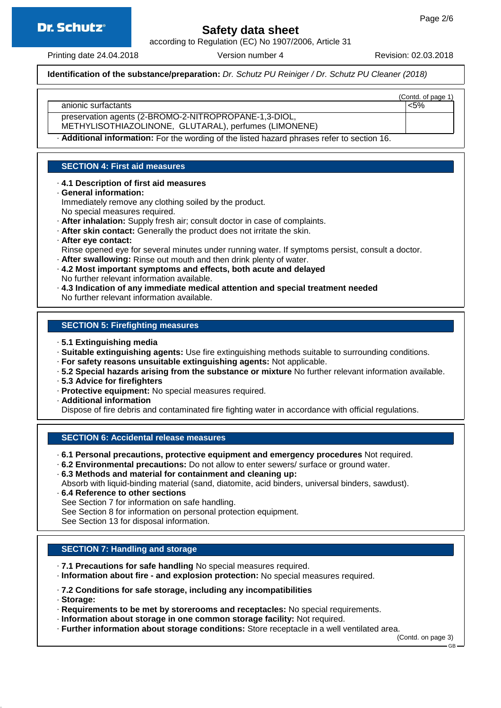## **Dr. Schutz®**

## **Safety data sheet**

according to Regulation (EC) No 1907/2006, Article 31

Printing date 24.04.2018 **Version number 4** Revision: 02.03.2018

(Contd. of page 1)

### **Identification of the substance/preparation:** Dr. Schutz PU Reiniger / Dr. Schutz PU Cleaner (2018)

#### anionic surfactants <5%

preservation agents (2-BROMO-2-NITROPROPANE-1,3-DIOL,

METHYLISOTHIAZOLINONE, GLUTARAL), perfumes (LIMONENE)

· **Additional information:** For the wording of the listed hazard phrases refer to section 16.

### **SECTION 4: First aid measures**

- · **4.1 Description of first aid measures**
- · **General information:**

Immediately remove any clothing soiled by the product.

No special measures required.

- · **After inhalation:** Supply fresh air; consult doctor in case of complaints.
- · **After skin contact:** Generally the product does not irritate the skin.
- · **After eye contact:**

Rinse opened eye for several minutes under running water. If symptoms persist, consult a doctor.

- · **After swallowing:** Rinse out mouth and then drink plenty of water.
- · **4.2 Most important symptoms and effects, both acute and delayed** No further relevant information available.
- · **4.3 Indication of any immediate medical attention and special treatment needed**

No further relevant information available.

### **SECTION 5: Firefighting measures**

- · **5.1 Extinguishing media**
- · **Suitable extinguishing agents:** Use fire extinguishing methods suitable to surrounding conditions.
- · **For safety reasons unsuitable extinguishing agents:** Not applicable.
- · **5.2 Special hazards arising from the substance or mixture** No further relevant information available.
- · **5.3 Advice for firefighters**
- · **Protective equipment:** No special measures required.
- · **Additional information**

Dispose of fire debris and contaminated fire fighting water in accordance with official regulations.

### **SECTION 6: Accidental release measures**

- · **6.1 Personal precautions, protective equipment and emergency procedures** Not required.
- · **6.2 Environmental precautions:** Do not allow to enter sewers/ surface or ground water.
- · **6.3 Methods and material for containment and cleaning up:** Absorb with liquid-binding material (sand, diatomite, acid binders, universal binders, sawdust).
- · **6.4 Reference to other sections**

See Section 7 for information on safe handling.

See Section 8 for information on personal protection equipment.

See Section 13 for disposal information.

### **SECTION 7: Handling and storage**

- · **7.1 Precautions for safe handling** No special measures required.
- · **Information about fire and explosion protection:** No special measures required.
- · **7.2 Conditions for safe storage, including any incompatibilities**

· **Storage:**

- · **Requirements to be met by storerooms and receptacles:** No special requirements.
- · **Information about storage in one common storage facility:** Not required.
- · **Further information about storage conditions:** Store receptacle in a well ventilated area.

(Contd. on page 3) GB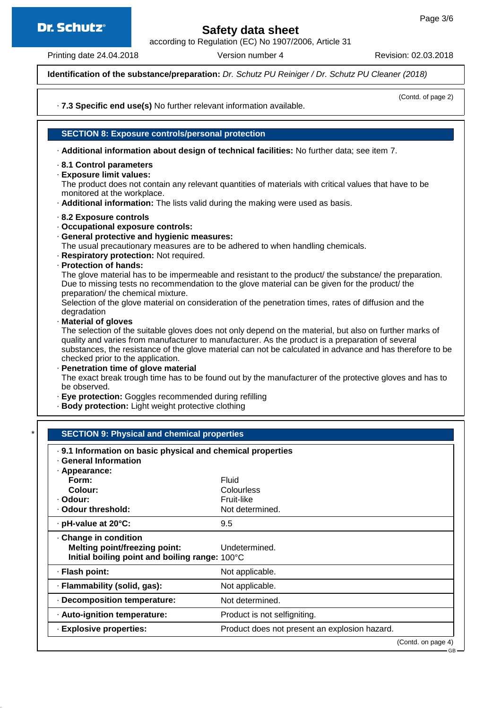## **Dr. Schutz®**

### **Safety data sheet**

according to Regulation (EC) No 1907/2006, Article 31

Printing date 24.04.2018 **Version number 4** Revision: 02.03.2018

**Identification of the substance/preparation:** Dr. Schutz PU Reiniger / Dr. Schutz PU Cleaner (2018)

· **7.3 Specific end use(s)** No further relevant information available.

(Contd. of page 2)

**SECTION 8: Exposure controls/personal protection**

· **Additional information about design of technical facilities:** No further data; see item 7.

- · **8.1 Control parameters**
- · **Exposure limit values:**

The product does not contain any relevant quantities of materials with critical values that have to be monitored at the workplace.

· **Additional information:** The lists valid during the making were used as basis.

- · **8.2 Exposure controls**
- · **Occupational exposure controls:**
- · **General protective and hygienic measures:**

The usual precautionary measures are to be adhered to when handling chemicals.

- · **Respiratory protection:** Not required.
- · **Protection of hands:**

The glove material has to be impermeable and resistant to the product/ the substance/ the preparation. Due to missing tests no recommendation to the glove material can be given for the product/ the preparation/ the chemical mixture.

Selection of the glove material on consideration of the penetration times, rates of diffusion and the degradation

· **Material of gloves**

The selection of the suitable gloves does not only depend on the material, but also on further marks of quality and varies from manufacturer to manufacturer. As the product is a preparation of several substances, the resistance of the glove material can not be calculated in advance and has therefore to be checked prior to the application.

· **Penetration time of glove material** The exact break trough time has to be found out by the manufacturer of the protective gloves and has to be observed.

- · **Eye protection:** Goggles recommended during refilling
- · **Body protection:** Light weight protective clothing

| . 9.1 Information on basic physical and chemical properties<br><b>General Information</b> |                                               |
|-------------------------------------------------------------------------------------------|-----------------------------------------------|
| · Appearance:                                                                             |                                               |
| Form:                                                                                     | Fluid                                         |
| Colour:                                                                                   | Colourless                                    |
| · Odour:                                                                                  | Fruit-like                                    |
| · Odour threshold:                                                                        | Not determined.                               |
| ⋅ pH-value at 20°C:                                                                       | 9.5                                           |
| Change in condition                                                                       |                                               |
| <b>Melting point/freezing point:</b>                                                      | Undetermined.                                 |
| Initial boiling point and boiling range: 100°C                                            |                                               |
| · Flash point:                                                                            | Not applicable.                               |
| · Flammability (solid, gas):                                                              | Not applicable.                               |
| Decomposition temperature:                                                                | Not determined.                               |
| · Auto-ignition temperature:                                                              | Product is not selfigniting.                  |
| · Explosive properties:                                                                   | Product does not present an explosion hazard. |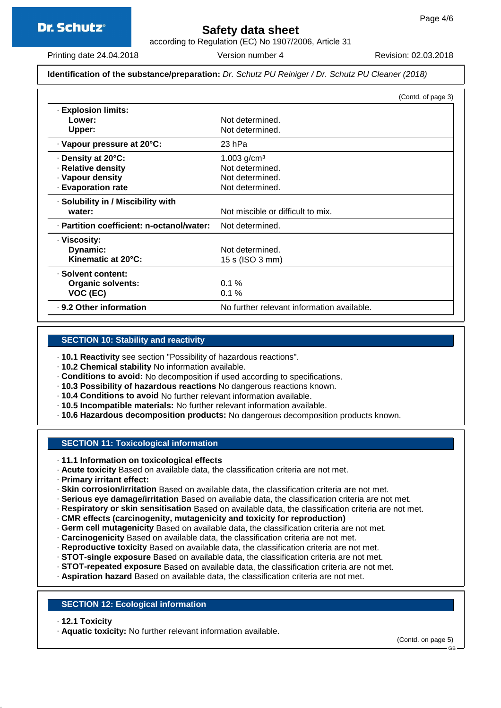according to Regulation (EC) No 1907/2006, Article 31

Printing date 24.04.2018 **Version number 4** Revision: 02.03.2018

### **Identification of the substance/preparation:** Dr. Schutz PU Reiniger / Dr. Schutz PU Cleaner (2018)

|                                           | (Contd. of page 3)                         |
|-------------------------------------------|--------------------------------------------|
| · Explosion limits:                       |                                            |
| Lower:                                    | Not determined.                            |
| Upper:                                    | Not determined.                            |
| Vapour pressure at 20°C:                  | 23 hPa                                     |
| ⋅ Density at 20°C:                        | 1.003 $g/cm3$                              |
| · Relative density                        | Not determined.                            |
| · Vapour density                          | Not determined.                            |
| · Evaporation rate                        | Not determined.                            |
| · Solubility in / Miscibility with        |                                            |
| water:                                    | Not miscible or difficult to mix.          |
| · Partition coefficient: n-octanol/water: | Not determined.                            |
| · Viscosity:                              |                                            |
| Dynamic:                                  | Not determined.                            |
| Kinematic at 20°C:                        | 15 s (ISO 3 mm)                            |
| · Solvent content:                        |                                            |
| <b>Organic solvents:</b>                  | 0.1%                                       |
| VOC (EC)                                  | 0.1%                                       |
| . 9.2 Other information                   | No further relevant information available. |

### **SECTION 10: Stability and reactivity**

- · **10.1 Reactivity** see section "Possibility of hazardous reactions".
- · **10.2 Chemical stability** No information available.
- · **Conditions to avoid:** No decomposition if used according to specifications.
- · **10.3 Possibility of hazardous reactions** No dangerous reactions known.
- · **10.4 Conditions to avoid** No further relevant information available.
- · **10.5 Incompatible materials:** No further relevant information available.
- · **10.6 Hazardous decomposition products:** No dangerous decomposition products known.

### **SECTION 11: Toxicological information**

- · **11.1 Information on toxicological effects**
- · **Acute toxicity** Based on available data, the classification criteria are not met.
- · **Primary irritant effect:**
- · **Skin corrosion/irritation** Based on available data, the classification criteria are not met.
- · **Serious eye damage/irritation** Based on available data, the classification criteria are not met.
- · **Respiratory or skin sensitisation** Based on available data, the classification criteria are not met.
- · **CMR effects (carcinogenity, mutagenicity and toxicity for reproduction)**
- · **Germ cell mutagenicity** Based on available data, the classification criteria are not met.
- · **Carcinogenicity** Based on available data, the classification criteria are not met.
- · **Reproductive toxicity** Based on available data, the classification criteria are not met.
- · **STOT-single exposure** Based on available data, the classification criteria are not met.
- · **STOT-repeated exposure** Based on available data, the classification criteria are not met.
- · **Aspiration hazard** Based on available data, the classification criteria are not met.

### **SECTION 12: Ecological information**

- · **12.1 Toxicity**
- · **Aquatic toxicity:** No further relevant information available.

(Contd. on page 5)

GB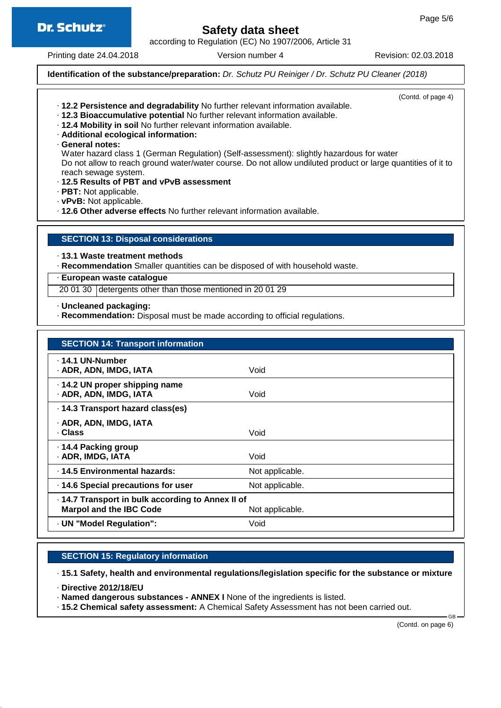

according to Regulation (EC) No 1907/2006, Article 31

Printing date 24.04.2018 **Version number 4** Revision: 02.03.2018

**Identification of the substance/preparation:** Dr. Schutz PU Reiniger / Dr. Schutz PU Cleaner (2018)

(Contd. of page 4)

- · **12.2 Persistence and degradability** No further relevant information available.
- · **12.3 Bioaccumulative potential** No further relevant information available.
- · **12.4 Mobility in soil** No further relevant information available.
- · **Additional ecological information:**
- · **General notes:**

Water hazard class 1 (German Regulation) (Self-assessment): slightly hazardous for water Do not allow to reach ground water/water course. Do not allow undiluted product or large quantities of it to reach sewage system.

- · **12.5 Results of PBT and vPvB assessment**
- · **PBT:** Not applicable.
- · **vPvB:** Not applicable.
- · **12.6 Other adverse effects** No further relevant information available.

**SECTION 13: Disposal considerations**

· **13.1 Waste treatment methods**

· **Recommendation** Smaller quantities can be disposed of with household waste.

· **European waste catalogue**

20 01 30 detergents other than those mentioned in 20 01 29

· **Uncleaned packaging:**

· **Recommendation:** Disposal must be made according to official regulations.

| <b>SECTION 14: Transport information</b>                                            |                 |  |
|-------------------------------------------------------------------------------------|-----------------|--|
| . 14.1 UN-Number<br>· ADR, ADN, IMDG, IATA                                          | Void            |  |
| . 14.2 UN proper shipping name<br>· ADR, ADN, IMDG, IATA                            | Void            |  |
| · 14.3 Transport hazard class(es)                                                   |                 |  |
| · ADR, ADN, IMDG, IATA<br>· Class                                                   | Void            |  |
| ⋅ 14.4 Packing group<br>· ADR, IMDG, IATA                                           | Void            |  |
| . 14.5 Environmental hazards:                                                       | Not applicable. |  |
| 14.6 Special precautions for user                                                   | Not applicable. |  |
| · 14.7 Transport in bulk according to Annex II of<br><b>Marpol and the IBC Code</b> | Not applicable. |  |
| · UN "Model Regulation":                                                            | Void            |  |

### **SECTION 15: Regulatory information**

· **15.1 Safety, health and environmental regulations/legislation specific for the substance or mixture**

- · **Directive 2012/18/EU**
- · **Named dangerous substances ANNEX I** None of the ingredients is listed.
- · **15.2 Chemical safety assessment:** A Chemical Safety Assessment has not been carried out.

(Contd. on page 6)

GB